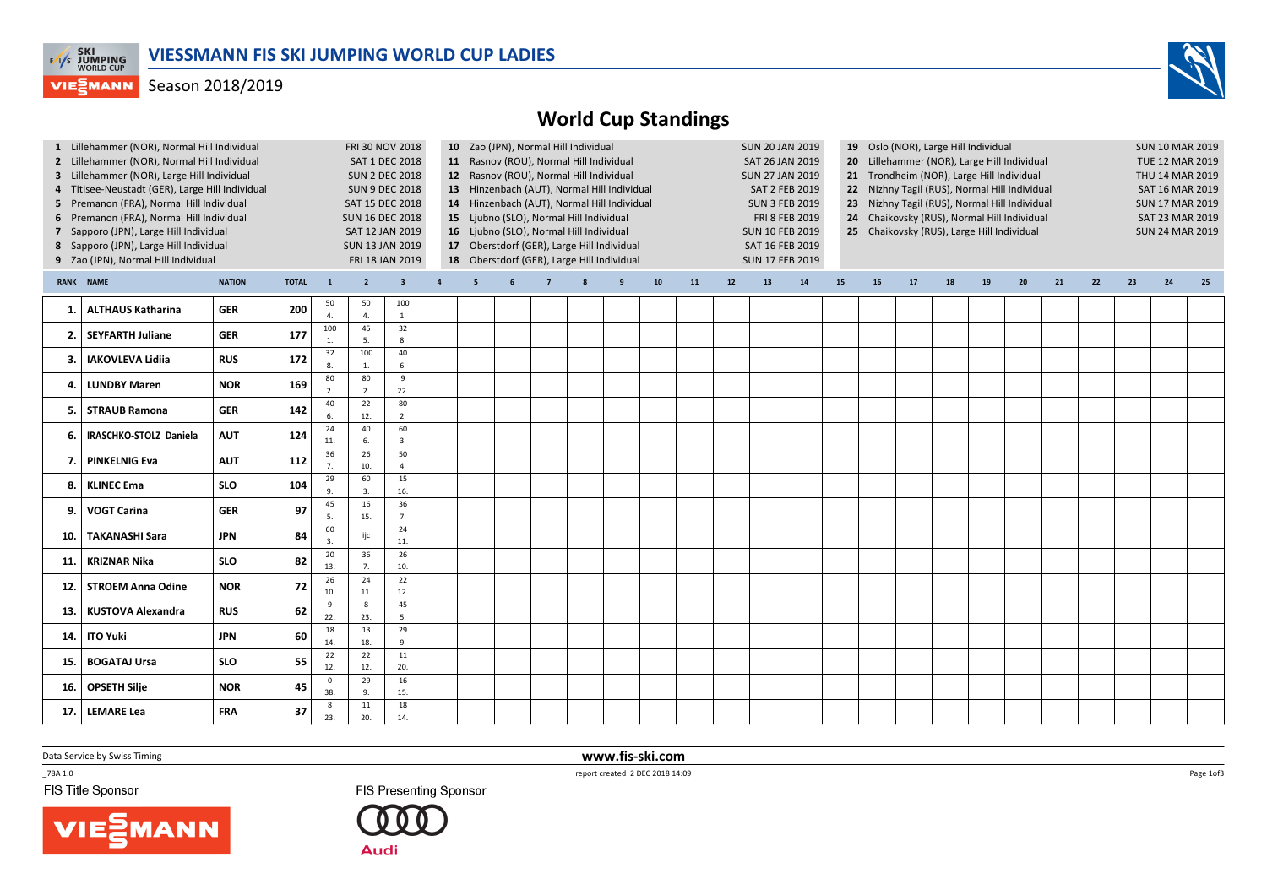

## **VIEGMANN** Season 2018/2019



| RANK NAME<br><b>NATION</b><br><b>TOTAL</b><br>${\bf 10}$<br>11<br>14<br>15<br>16<br>21<br>22<br>23<br>$\overline{2}$<br>$\overline{\mathbf{3}}$<br>$12$<br>13<br>17<br>18<br>19<br>20<br>24<br>25<br>$\mathbf{1}$<br>$\overline{4}$<br>5<br>$\overline{7}$<br>8<br>9<br>50<br>50<br>100<br><b>ALTHAUS Katharina</b><br><b>GER</b><br>200<br>1.<br>$\overline{4}$<br>$\mathbf{1}$<br>$\overline{4}$<br>100<br>45<br>32<br><b>SEYFARTH Juliane</b><br><b>GER</b><br>177<br>2.<br>5.<br>8.<br>1.<br>40<br>100<br>32<br>172<br><b>IAKOVLEVA Lidija</b><br><b>RUS</b><br>3.<br>6.<br>$\mathbf{1}$<br>80<br>$\overline{9}$<br>80<br><b>NOR</b><br>169<br><b>LUNDBY Maren</b><br>4.<br>22.<br>$\mathcal{L}$<br>2.<br>80<br>40<br>22<br><b>GER</b><br>142<br><b>STRAUB Ramona</b><br>5.<br>12.<br>2.<br>$\mathsf{f}$<br>24<br>40<br>60<br>IRASCHKO-STOLZ Daniela<br><b>AUT</b><br>124<br>6.<br>11.<br>6.<br>$\overline{3}$<br>36<br>26<br>50<br><b>PINKELNIG Eva</b><br><b>AUT</b><br>112<br>7.<br>7.<br>10.<br>4.<br>29<br>15<br>60<br><b>KLINEC Ema</b><br><b>SLO</b><br>104<br>8.<br>16.<br>9<br>3.<br>36<br>45<br>16<br><b>GER</b><br>97<br><b>VOGT Carina</b><br>9.<br>15.<br>7.<br>5.<br>60<br>24<br><b>JPN</b><br>84<br><b>TAKANASHI Sara</b><br>ijc<br>10.<br>11.<br>$\overline{3}$<br>20<br>26<br>36<br><b>SLO</b><br>82<br><b>KRIZNAR Nika</b><br>11.<br>13.<br>10.<br>7.<br>22<br>26<br>24<br><b>NOR</b><br>72<br><b>STROEM Anna Odine</b><br>12.<br>10.<br>11.<br>12.<br>45<br>8<br>9<br><b>KUSTOVA Alexandra</b><br>62<br><b>RUS</b><br>13.<br>22.<br>23.<br>5.<br>13<br>29<br>18<br>60<br><b>JPN</b><br><b>ITO Yuki</b><br>14.<br>18.<br>14.<br>9.<br>22<br>22<br>11<br><b>SLO</b><br>55<br><b>BOGATAJ Ursa</b><br>15.<br>20.<br>12.<br>12.<br>29<br>16<br>$\mathsf 0$<br><b>OPSETH Silje</b><br><b>NOR</b><br>45<br>16.<br>38.<br>15.<br>9.<br>18<br>11<br>8<br>37<br><b>LEMARE Lea</b><br><b>FRA</b><br>17.<br>23.<br>20.<br>14. |  | 1 Lillehammer (NOR), Normal Hill Individual<br>2 Lillehammer (NOR), Normal Hill Individual<br>3 Lillehammer (NOR), Large Hill Individual<br>4 Titisee-Neustadt (GER), Large Hill Individual<br>5 Premanon (FRA), Normal Hill Individual<br>6 Premanon (FRA), Normal Hill Individual<br>7 Sapporo (JPN), Large Hill Individual<br>8 Sapporo (JPN), Large Hill Individual<br>9 Zao (JPN), Normal Hill Individual |  | FRI 30 NOV 2018<br><b>SAT 1 DEC 2018</b><br><b>SUN 2 DEC 2018</b><br><b>SUN 9 DEC 2018</b><br>SAT 15 DEC 2018<br><b>SUN 16 DEC 2018</b><br>SAT 12 JAN 2019<br><b>SUN 13 JAN 2019</b><br>FRI 18 JAN 2019 | 10 Zao (JPN), Normal Hill Individual<br>11 Rasnov (ROU), Normal Hill Individual<br>12 Rasnov (ROU), Normal Hill Individual<br>13 Hinzenbach (AUT), Normal Hill Individual<br>14 Hinzenbach (AUT), Normal Hill Individual<br>15 Ljubno (SLO), Normal Hill Individual<br>16 Ljubno (SLO), Normal Hill Individual<br>17 Oberstdorf (GER), Large Hill Individual<br>18 Oberstdorf (GER), Large Hill Individual |  |  |  |  |  |  | <b>SUN 20 JAN 2019</b> | SAT 26 JAN 2019<br><b>SUN 27 JAN 2019</b><br><b>SAT 2 FEB 2019</b><br><b>SUN 3 FEB 2019</b><br>FRI 8 FEB 2019<br><b>SUN 10 FEB 2019</b><br>SAT 16 FEB 2019<br><b>SUN 17 FEB 2019</b> | 19 Oslo (NOR), Large Hill Individual<br>20 Lillehammer (NOR), Large Hill Individual<br>21 Trondheim (NOR), Large Hill Individual<br>22 Nizhny Tagil (RUS), Normal Hill Individual<br>23 Nizhny Tagil (RUS), Normal Hill Individual<br>24 Chaikovsky (RUS), Normal Hill Individual<br>25 Chaikovsky (RUS), Large Hill Individual |  |  |  |  |  |  |  |  | <b>SUN 10 MAR 2019</b><br>TUE 12 MAR 2019<br>THU 14 MAR 2019<br>SAT 16 MAR 2019<br><b>SUN 17 MAR 2019</b><br>SAT 23 MAR 2019<br><b>SUN 24 MAR 2019</b> |  |  |  |
|------------------------------------------------------------------------------------------------------------------------------------------------------------------------------------------------------------------------------------------------------------------------------------------------------------------------------------------------------------------------------------------------------------------------------------------------------------------------------------------------------------------------------------------------------------------------------------------------------------------------------------------------------------------------------------------------------------------------------------------------------------------------------------------------------------------------------------------------------------------------------------------------------------------------------------------------------------------------------------------------------------------------------------------------------------------------------------------------------------------------------------------------------------------------------------------------------------------------------------------------------------------------------------------------------------------------------------------------------------------------------------------------------------------------------------------------------------------------------------------------------------------------------------------------------------------------------------------------------------------------------------------------------------------------------------------------------------------------------------------------------------------------------------------------------------------------------------------------------------------------------------------------------------------------------------------|--|----------------------------------------------------------------------------------------------------------------------------------------------------------------------------------------------------------------------------------------------------------------------------------------------------------------------------------------------------------------------------------------------------------------|--|---------------------------------------------------------------------------------------------------------------------------------------------------------------------------------------------------------|------------------------------------------------------------------------------------------------------------------------------------------------------------------------------------------------------------------------------------------------------------------------------------------------------------------------------------------------------------------------------------------------------------|--|--|--|--|--|--|------------------------|--------------------------------------------------------------------------------------------------------------------------------------------------------------------------------------|---------------------------------------------------------------------------------------------------------------------------------------------------------------------------------------------------------------------------------------------------------------------------------------------------------------------------------|--|--|--|--|--|--|--|--|--------------------------------------------------------------------------------------------------------------------------------------------------------|--|--|--|
|                                                                                                                                                                                                                                                                                                                                                                                                                                                                                                                                                                                                                                                                                                                                                                                                                                                                                                                                                                                                                                                                                                                                                                                                                                                                                                                                                                                                                                                                                                                                                                                                                                                                                                                                                                                                                                                                                                                                          |  |                                                                                                                                                                                                                                                                                                                                                                                                                |  |                                                                                                                                                                                                         |                                                                                                                                                                                                                                                                                                                                                                                                            |  |  |  |  |  |  |                        |                                                                                                                                                                                      |                                                                                                                                                                                                                                                                                                                                 |  |  |  |  |  |  |  |  |                                                                                                                                                        |  |  |  |
|                                                                                                                                                                                                                                                                                                                                                                                                                                                                                                                                                                                                                                                                                                                                                                                                                                                                                                                                                                                                                                                                                                                                                                                                                                                                                                                                                                                                                                                                                                                                                                                                                                                                                                                                                                                                                                                                                                                                          |  |                                                                                                                                                                                                                                                                                                                                                                                                                |  |                                                                                                                                                                                                         |                                                                                                                                                                                                                                                                                                                                                                                                            |  |  |  |  |  |  |                        |                                                                                                                                                                                      |                                                                                                                                                                                                                                                                                                                                 |  |  |  |  |  |  |  |  |                                                                                                                                                        |  |  |  |
|                                                                                                                                                                                                                                                                                                                                                                                                                                                                                                                                                                                                                                                                                                                                                                                                                                                                                                                                                                                                                                                                                                                                                                                                                                                                                                                                                                                                                                                                                                                                                                                                                                                                                                                                                                                                                                                                                                                                          |  |                                                                                                                                                                                                                                                                                                                                                                                                                |  |                                                                                                                                                                                                         |                                                                                                                                                                                                                                                                                                                                                                                                            |  |  |  |  |  |  |                        |                                                                                                                                                                                      |                                                                                                                                                                                                                                                                                                                                 |  |  |  |  |  |  |  |  |                                                                                                                                                        |  |  |  |
|                                                                                                                                                                                                                                                                                                                                                                                                                                                                                                                                                                                                                                                                                                                                                                                                                                                                                                                                                                                                                                                                                                                                                                                                                                                                                                                                                                                                                                                                                                                                                                                                                                                                                                                                                                                                                                                                                                                                          |  |                                                                                                                                                                                                                                                                                                                                                                                                                |  |                                                                                                                                                                                                         |                                                                                                                                                                                                                                                                                                                                                                                                            |  |  |  |  |  |  |                        |                                                                                                                                                                                      |                                                                                                                                                                                                                                                                                                                                 |  |  |  |  |  |  |  |  |                                                                                                                                                        |  |  |  |
|                                                                                                                                                                                                                                                                                                                                                                                                                                                                                                                                                                                                                                                                                                                                                                                                                                                                                                                                                                                                                                                                                                                                                                                                                                                                                                                                                                                                                                                                                                                                                                                                                                                                                                                                                                                                                                                                                                                                          |  |                                                                                                                                                                                                                                                                                                                                                                                                                |  |                                                                                                                                                                                                         |                                                                                                                                                                                                                                                                                                                                                                                                            |  |  |  |  |  |  |                        |                                                                                                                                                                                      |                                                                                                                                                                                                                                                                                                                                 |  |  |  |  |  |  |  |  |                                                                                                                                                        |  |  |  |
|                                                                                                                                                                                                                                                                                                                                                                                                                                                                                                                                                                                                                                                                                                                                                                                                                                                                                                                                                                                                                                                                                                                                                                                                                                                                                                                                                                                                                                                                                                                                                                                                                                                                                                                                                                                                                                                                                                                                          |  |                                                                                                                                                                                                                                                                                                                                                                                                                |  |                                                                                                                                                                                                         |                                                                                                                                                                                                                                                                                                                                                                                                            |  |  |  |  |  |  |                        |                                                                                                                                                                                      |                                                                                                                                                                                                                                                                                                                                 |  |  |  |  |  |  |  |  |                                                                                                                                                        |  |  |  |
|                                                                                                                                                                                                                                                                                                                                                                                                                                                                                                                                                                                                                                                                                                                                                                                                                                                                                                                                                                                                                                                                                                                                                                                                                                                                                                                                                                                                                                                                                                                                                                                                                                                                                                                                                                                                                                                                                                                                          |  |                                                                                                                                                                                                                                                                                                                                                                                                                |  |                                                                                                                                                                                                         |                                                                                                                                                                                                                                                                                                                                                                                                            |  |  |  |  |  |  |                        |                                                                                                                                                                                      |                                                                                                                                                                                                                                                                                                                                 |  |  |  |  |  |  |  |  |                                                                                                                                                        |  |  |  |
|                                                                                                                                                                                                                                                                                                                                                                                                                                                                                                                                                                                                                                                                                                                                                                                                                                                                                                                                                                                                                                                                                                                                                                                                                                                                                                                                                                                                                                                                                                                                                                                                                                                                                                                                                                                                                                                                                                                                          |  |                                                                                                                                                                                                                                                                                                                                                                                                                |  |                                                                                                                                                                                                         |                                                                                                                                                                                                                                                                                                                                                                                                            |  |  |  |  |  |  |                        |                                                                                                                                                                                      |                                                                                                                                                                                                                                                                                                                                 |  |  |  |  |  |  |  |  |                                                                                                                                                        |  |  |  |
|                                                                                                                                                                                                                                                                                                                                                                                                                                                                                                                                                                                                                                                                                                                                                                                                                                                                                                                                                                                                                                                                                                                                                                                                                                                                                                                                                                                                                                                                                                                                                                                                                                                                                                                                                                                                                                                                                                                                          |  |                                                                                                                                                                                                                                                                                                                                                                                                                |  |                                                                                                                                                                                                         |                                                                                                                                                                                                                                                                                                                                                                                                            |  |  |  |  |  |  |                        |                                                                                                                                                                                      |                                                                                                                                                                                                                                                                                                                                 |  |  |  |  |  |  |  |  |                                                                                                                                                        |  |  |  |
|                                                                                                                                                                                                                                                                                                                                                                                                                                                                                                                                                                                                                                                                                                                                                                                                                                                                                                                                                                                                                                                                                                                                                                                                                                                                                                                                                                                                                                                                                                                                                                                                                                                                                                                                                                                                                                                                                                                                          |  |                                                                                                                                                                                                                                                                                                                                                                                                                |  |                                                                                                                                                                                                         |                                                                                                                                                                                                                                                                                                                                                                                                            |  |  |  |  |  |  |                        |                                                                                                                                                                                      |                                                                                                                                                                                                                                                                                                                                 |  |  |  |  |  |  |  |  |                                                                                                                                                        |  |  |  |
|                                                                                                                                                                                                                                                                                                                                                                                                                                                                                                                                                                                                                                                                                                                                                                                                                                                                                                                                                                                                                                                                                                                                                                                                                                                                                                                                                                                                                                                                                                                                                                                                                                                                                                                                                                                                                                                                                                                                          |  |                                                                                                                                                                                                                                                                                                                                                                                                                |  |                                                                                                                                                                                                         |                                                                                                                                                                                                                                                                                                                                                                                                            |  |  |  |  |  |  |                        |                                                                                                                                                                                      |                                                                                                                                                                                                                                                                                                                                 |  |  |  |  |  |  |  |  |                                                                                                                                                        |  |  |  |
|                                                                                                                                                                                                                                                                                                                                                                                                                                                                                                                                                                                                                                                                                                                                                                                                                                                                                                                                                                                                                                                                                                                                                                                                                                                                                                                                                                                                                                                                                                                                                                                                                                                                                                                                                                                                                                                                                                                                          |  |                                                                                                                                                                                                                                                                                                                                                                                                                |  |                                                                                                                                                                                                         |                                                                                                                                                                                                                                                                                                                                                                                                            |  |  |  |  |  |  |                        |                                                                                                                                                                                      |                                                                                                                                                                                                                                                                                                                                 |  |  |  |  |  |  |  |  |                                                                                                                                                        |  |  |  |
|                                                                                                                                                                                                                                                                                                                                                                                                                                                                                                                                                                                                                                                                                                                                                                                                                                                                                                                                                                                                                                                                                                                                                                                                                                                                                                                                                                                                                                                                                                                                                                                                                                                                                                                                                                                                                                                                                                                                          |  |                                                                                                                                                                                                                                                                                                                                                                                                                |  |                                                                                                                                                                                                         |                                                                                                                                                                                                                                                                                                                                                                                                            |  |  |  |  |  |  |                        |                                                                                                                                                                                      |                                                                                                                                                                                                                                                                                                                                 |  |  |  |  |  |  |  |  |                                                                                                                                                        |  |  |  |
|                                                                                                                                                                                                                                                                                                                                                                                                                                                                                                                                                                                                                                                                                                                                                                                                                                                                                                                                                                                                                                                                                                                                                                                                                                                                                                                                                                                                                                                                                                                                                                                                                                                                                                                                                                                                                                                                                                                                          |  |                                                                                                                                                                                                                                                                                                                                                                                                                |  |                                                                                                                                                                                                         |                                                                                                                                                                                                                                                                                                                                                                                                            |  |  |  |  |  |  |                        |                                                                                                                                                                                      |                                                                                                                                                                                                                                                                                                                                 |  |  |  |  |  |  |  |  |                                                                                                                                                        |  |  |  |
|                                                                                                                                                                                                                                                                                                                                                                                                                                                                                                                                                                                                                                                                                                                                                                                                                                                                                                                                                                                                                                                                                                                                                                                                                                                                                                                                                                                                                                                                                                                                                                                                                                                                                                                                                                                                                                                                                                                                          |  |                                                                                                                                                                                                                                                                                                                                                                                                                |  |                                                                                                                                                                                                         |                                                                                                                                                                                                                                                                                                                                                                                                            |  |  |  |  |  |  |                        |                                                                                                                                                                                      |                                                                                                                                                                                                                                                                                                                                 |  |  |  |  |  |  |  |  |                                                                                                                                                        |  |  |  |
|                                                                                                                                                                                                                                                                                                                                                                                                                                                                                                                                                                                                                                                                                                                                                                                                                                                                                                                                                                                                                                                                                                                                                                                                                                                                                                                                                                                                                                                                                                                                                                                                                                                                                                                                                                                                                                                                                                                                          |  |                                                                                                                                                                                                                                                                                                                                                                                                                |  |                                                                                                                                                                                                         |                                                                                                                                                                                                                                                                                                                                                                                                            |  |  |  |  |  |  |                        |                                                                                                                                                                                      |                                                                                                                                                                                                                                                                                                                                 |  |  |  |  |  |  |  |  |                                                                                                                                                        |  |  |  |
|                                                                                                                                                                                                                                                                                                                                                                                                                                                                                                                                                                                                                                                                                                                                                                                                                                                                                                                                                                                                                                                                                                                                                                                                                                                                                                                                                                                                                                                                                                                                                                                                                                                                                                                                                                                                                                                                                                                                          |  |                                                                                                                                                                                                                                                                                                                                                                                                                |  |                                                                                                                                                                                                         |                                                                                                                                                                                                                                                                                                                                                                                                            |  |  |  |  |  |  |                        |                                                                                                                                                                                      |                                                                                                                                                                                                                                                                                                                                 |  |  |  |  |  |  |  |  |                                                                                                                                                        |  |  |  |
|                                                                                                                                                                                                                                                                                                                                                                                                                                                                                                                                                                                                                                                                                                                                                                                                                                                                                                                                                                                                                                                                                                                                                                                                                                                                                                                                                                                                                                                                                                                                                                                                                                                                                                                                                                                                                                                                                                                                          |  |                                                                                                                                                                                                                                                                                                                                                                                                                |  |                                                                                                                                                                                                         |                                                                                                                                                                                                                                                                                                                                                                                                            |  |  |  |  |  |  |                        |                                                                                                                                                                                      |                                                                                                                                                                                                                                                                                                                                 |  |  |  |  |  |  |  |  |                                                                                                                                                        |  |  |  |

Data Service by Swiss Timing

 $-78A 1.0$ 

FIS Title Sponsor





 www.fis-ski.comreport created 2 DEC 2018 14:09

Page 1of3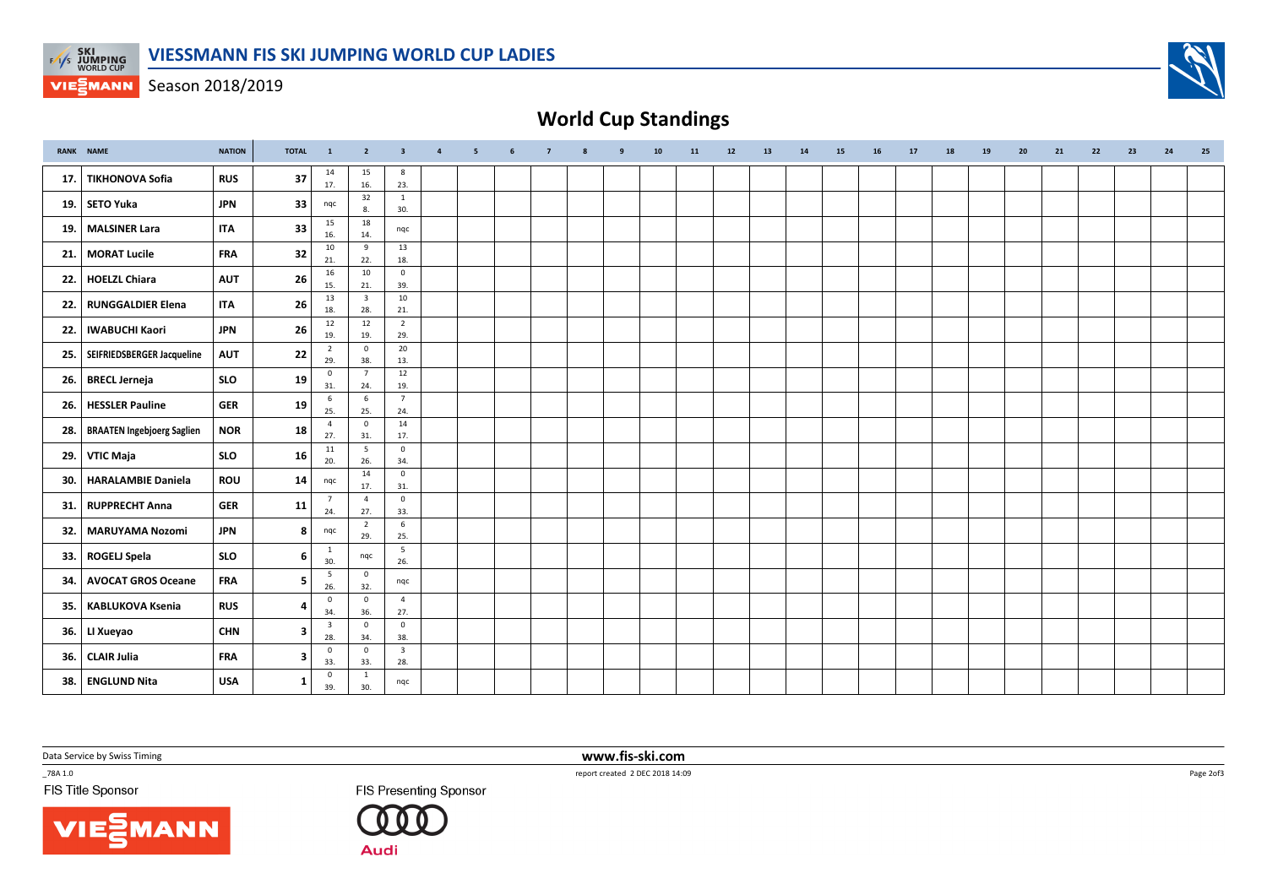

**VIEGMANN** Season 2018/2019



## World Cup Standings

|     | <b>RANK NAME</b>                 | <b>NATION</b> | <b>TOTAL</b>            | $\mathbf{1}$                   | $\overline{2}$                 | $\overline{\mathbf{3}}$        | $\overline{4}$ | 5 | 6 | $\overline{7}$ | 8 | 9 | 10 | 11 | 12 | 13 | 14 | 15 | 16 | 17 | 18 | 19 | 20 | 21 | 22 | 23 | 24 | 25 |
|-----|----------------------------------|---------------|-------------------------|--------------------------------|--------------------------------|--------------------------------|----------------|---|---|----------------|---|---|----|----|----|----|----|----|----|----|----|----|----|----|----|----|----|----|
| 17. | TIKHONOVA Sofia                  | <b>RUS</b>    | 37                      | 14<br>17.                      | 15<br>16.                      | 8<br>23.                       |                |   |   |                |   |   |    |    |    |    |    |    |    |    |    |    |    |    |    |    |    |    |
|     | 19. SETO Yuka                    | <b>JPN</b>    | 33                      | nqc                            | 32<br>8.                       | $\mathbf{1}$<br>30.            |                |   |   |                |   |   |    |    |    |    |    |    |    |    |    |    |    |    |    |    |    |    |
|     | 19. MALSINER Lara                | <b>ITA</b>    | 33                      | 15<br>16.                      | 18<br>14.                      | nqc                            |                |   |   |                |   |   |    |    |    |    |    |    |    |    |    |    |    |    |    |    |    |    |
|     | 21.   MORAT Lucile               | <b>FRA</b>    | 32                      | 10<br>21.                      | 9<br>22.                       | 13<br>18.                      |                |   |   |                |   |   |    |    |    |    |    |    |    |    |    |    |    |    |    |    |    |    |
|     | 22. HOELZL Chiara                | <b>AUT</b>    | 26                      | 16<br>15.                      | 10<br>21.                      | $\mathbf 0$<br>39.             |                |   |   |                |   |   |    |    |    |    |    |    |    |    |    |    |    |    |    |    |    |    |
| 22. | RUNGGALDIER Elena                | <b>ITA</b>    | 26                      | 13<br>18.                      | $\overline{\mathbf{3}}$<br>28. | 10<br>21.                      |                |   |   |                |   |   |    |    |    |    |    |    |    |    |    |    |    |    |    |    |    |    |
|     | 22.   IWABUCHI Kaori             | <b>JPN</b>    | 26                      | 12<br>19.                      | 12<br>19.                      | $\overline{2}$<br>29.          |                |   |   |                |   |   |    |    |    |    |    |    |    |    |    |    |    |    |    |    |    |    |
|     | 25.   SEIFRIEDSBERGER Jacqueline | <b>AUT</b>    | 22                      | $\overline{2}$<br>29.          | $\overline{\mathbf{0}}$<br>38. | 20<br>13.                      |                |   |   |                |   |   |    |    |    |    |    |    |    |    |    |    |    |    |    |    |    |    |
|     | 26. BRECL Jerneja                | <b>SLO</b>    | 19                      | $\mathbf 0$<br>31.             | $\overline{7}$<br>24.          | 12<br>19.                      |                |   |   |                |   |   |    |    |    |    |    |    |    |    |    |    |    |    |    |    |    |    |
|     | 26. HESSLER Pauline              | <b>GER</b>    | 19                      | 6<br>25.                       | 6<br>25.                       | $\overline{7}$<br>24.          |                |   |   |                |   |   |    |    |    |    |    |    |    |    |    |    |    |    |    |    |    |    |
|     | 28.   BRAATEN Ingebjoerg Saglien | <b>NOR</b>    | 18                      | $\overline{4}$<br>27.          | $\overline{\mathbf{0}}$<br>31. | 14<br>17.                      |                |   |   |                |   |   |    |    |    |    |    |    |    |    |    |    |    |    |    |    |    |    |
|     | 29. VTIC Maja                    | <b>SLO</b>    | 16                      | 11<br>20.                      | 5<br>26.                       | $\mathbf 0$<br>34.             |                |   |   |                |   |   |    |    |    |    |    |    |    |    |    |    |    |    |    |    |    |    |
| 30. | HARALAMBIE Daniela               | ROU           | 14                      | nqc                            | 14                             | $\mathsf 0$<br>31.             |                |   |   |                |   |   |    |    |    |    |    |    |    |    |    |    |    |    |    |    |    |    |
|     | 31. RUPPRECHT Anna               | <b>GER</b>    | 11                      | $\overline{7}$<br>24.          | 17.<br>$\overline{4}$          | $\overline{0}$                 |                |   |   |                |   |   |    |    |    |    |    |    |    |    |    |    |    |    |    |    |    |    |
|     | 32.   MARUYAMA Nozomi            | <b>JPN</b>    | 8                       | nqc                            | 27.<br>$\overline{2}$          | 33.<br>6                       |                |   |   |                |   |   |    |    |    |    |    |    |    |    |    |    |    |    |    |    |    |    |
|     | 33. ROGELJ Spela                 | <b>SLO</b>    | 6                       | $\mathbf{1}$<br>30.            | 29.<br>nqc                     | 25.<br>$5\overline{)}$         |                |   |   |                |   |   |    |    |    |    |    |    |    |    |    |    |    |    |    |    |    |    |
| 34. | <b>AVOCAT GROS Oceane</b>        | <b>FRA</b>    | -5                      | 5                              | $\overline{\mathbf{0}}$        | 26.<br>nqc                     |                |   |   |                |   |   |    |    |    |    |    |    |    |    |    |    |    |    |    |    |    |    |
|     | 35. KABLUKOVA Ksenia             | <b>RUS</b>    | 4                       | 26.<br>$\mathsf 0$             | 32.<br>$\overline{\mathbf{0}}$ | $\overline{4}$                 |                |   |   |                |   |   |    |    |    |    |    |    |    |    |    |    |    |    |    |    |    |    |
|     | 36. LI Xueyao                    | <b>CHN</b>    | -3                      | 34.<br>$\overline{\mathbf{3}}$ | 36.<br>$\mathsf 0$             | 27.<br>$\mathbf 0$             |                |   |   |                |   |   |    |    |    |    |    |    |    |    |    |    |    |    |    |    |    |    |
|     | 36. CLAIR Julia                  | <b>FRA</b>    | $\overline{\mathbf{3}}$ | 28.<br>$\mathsf 0$             | 34.<br>$\mathbf 0$             | 38.<br>$\overline{\mathbf{3}}$ |                |   |   |                |   |   |    |    |    |    |    |    |    |    |    |    |    |    |    |    |    |    |
|     | 38. ENGLUND Nita                 | <b>USA</b>    | -1                      | 33.<br>$\mathbf 0$             | 33.<br>1                       | 28.<br>nqc                     |                |   |   |                |   |   |    |    |    |    |    |    |    |    |    |    |    |    |    |    |    |    |
|     |                                  |               |                         | 39.                            | 30.                            |                                |                |   |   |                |   |   |    |    |    |    |    |    |    |    |    |    |    |    |    |    |    |    |

Data Service by Swiss Timing

 $-78A 1.0$ 

FIS Title Sponsor



FIS Presenting Sponsor



report created 2 DEC 2018 14:09

www.fis-ski.com

Page 2of3